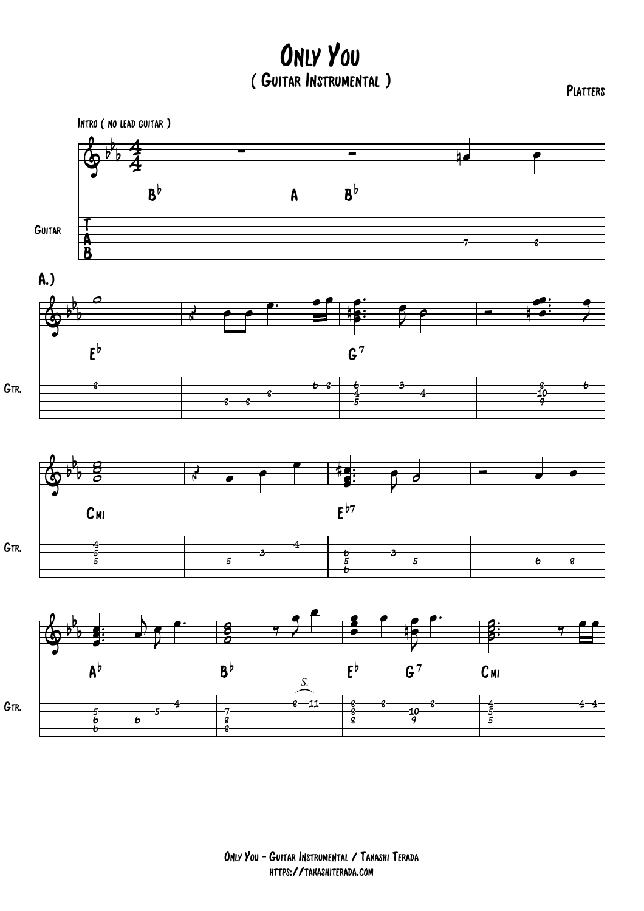Only You ( Guitar Instrumental )

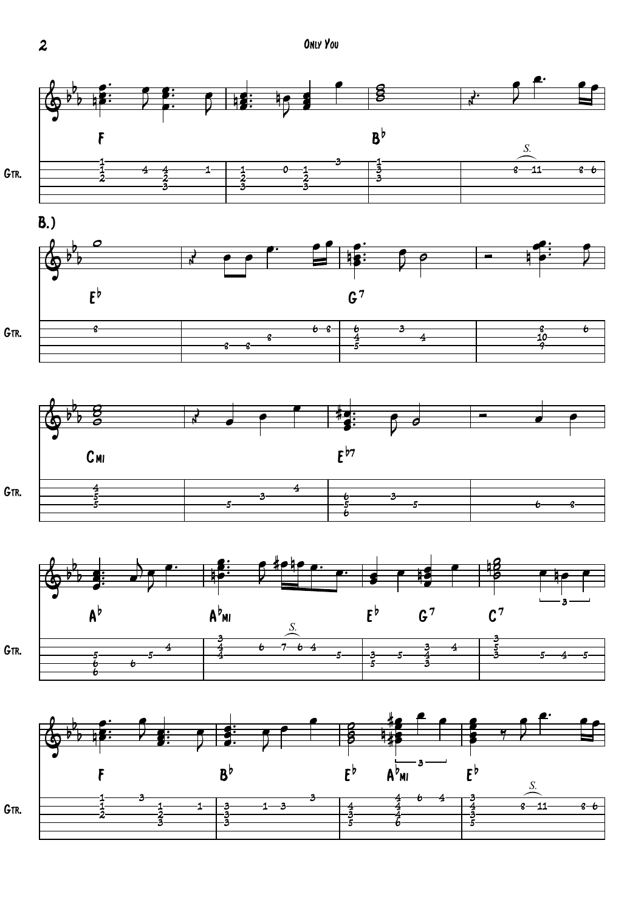

 $\overline{\mathbf{c}}$